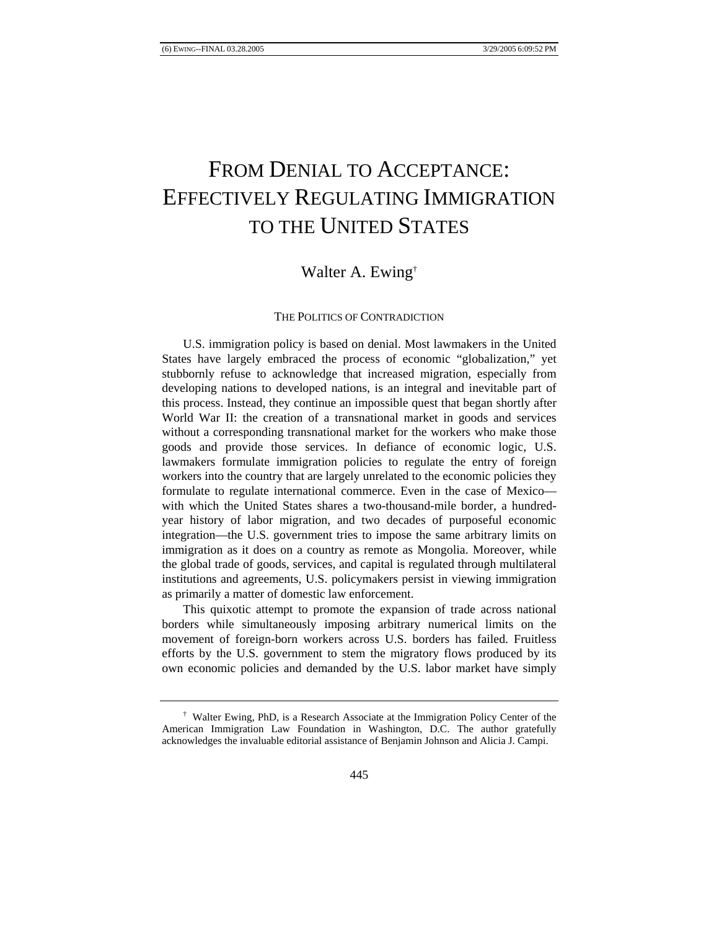# FROM DENIAL TO ACCEPTANCE: EFFECTIVELY REGULATING IMMIGRATION TO THE UNITED STATES

# Walter A. Ewing†

# THE POLITICS OF CONTRADICTION

U.S. immigration policy is based on denial. Most lawmakers in the United States have largely embraced the process of economic "globalization," yet stubbornly refuse to acknowledge that increased migration, especially from developing nations to developed nations, is an integral and inevitable part of this process. Instead, they continue an impossible quest that began shortly after World War II: the creation of a transnational market in goods and services without a corresponding transnational market for the workers who make those goods and provide those services. In defiance of economic logic, U.S. lawmakers formulate immigration policies to regulate the entry of foreign workers into the country that are largely unrelated to the economic policies they formulate to regulate international commerce. Even in the case of Mexico with which the United States shares a two-thousand-mile border, a hundredyear history of labor migration, and two decades of purposeful economic integration—the U.S. government tries to impose the same arbitrary limits on immigration as it does on a country as remote as Mongolia. Moreover, while the global trade of goods, services, and capital is regulated through multilateral institutions and agreements, U.S. policymakers persist in viewing immigration as primarily a matter of domestic law enforcement.

This quixotic attempt to promote the expansion of trade across national borders while simultaneously imposing arbitrary numerical limits on the movement of foreign-born workers across U.S. borders has failed. Fruitless efforts by the U.S. government to stem the migratory flows produced by its own economic policies and demanded by the U.S. labor market have simply

<sup>†</sup> Walter Ewing, PhD, is a Research Associate at the Immigration Policy Center of the American Immigration Law Foundation in Washington, D.C. The author gratefully acknowledges the invaluable editorial assistance of Benjamin Johnson and Alicia J. Campi.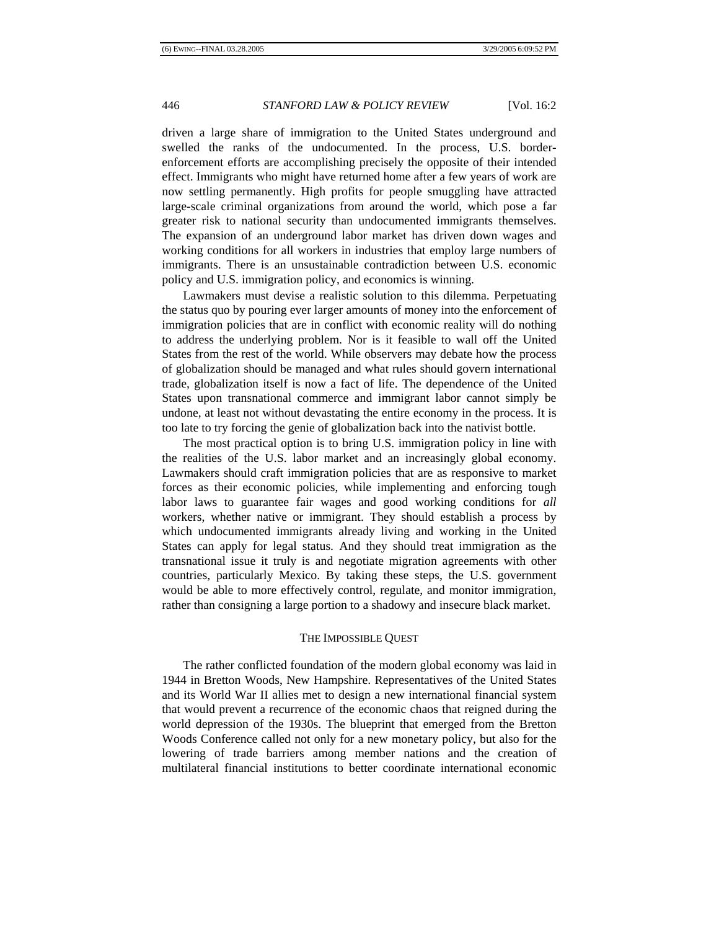driven a large share of immigration to the United States underground and swelled the ranks of the undocumented. In the process, U.S. borderenforcement efforts are accomplishing precisely the opposite of their intended effect. Immigrants who might have returned home after a few years of work are now settling permanently. High profits for people smuggling have attracted large-scale criminal organizations from around the world, which pose a far greater risk to national security than undocumented immigrants themselves. The expansion of an underground labor market has driven down wages and working conditions for all workers in industries that employ large numbers of immigrants. There is an unsustainable contradiction between U.S. economic policy and U.S. immigration policy, and economics is winning.

Lawmakers must devise a realistic solution to this dilemma. Perpetuating the status quo by pouring ever larger amounts of money into the enforcement of immigration policies that are in conflict with economic reality will do nothing to address the underlying problem. Nor is it feasible to wall off the United States from the rest of the world. While observers may debate how the process of globalization should be managed and what rules should govern international trade, globalization itself is now a fact of life. The dependence of the United States upon transnational commerce and immigrant labor cannot simply be undone, at least not without devastating the entire economy in the process. It is too late to try forcing the genie of globalization back into the nativist bottle.

The most practical option is to bring U.S. immigration policy in line with the realities of the U.S. labor market and an increasingly global economy. Lawmakers should craft immigration policies that are as responsive to market forces as their economic policies, while implementing and enforcing tough labor laws to guarantee fair wages and good working conditions for *all* workers, whether native or immigrant. They should establish a process by which undocumented immigrants already living and working in the United States can apply for legal status. And they should treat immigration as the transnational issue it truly is and negotiate migration agreements with other countries, particularly Mexico. By taking these steps, the U.S. government would be able to more effectively control, regulate, and monitor immigration, rather than consigning a large portion to a shadowy and insecure black market.

# THE IMPOSSIBLE QUEST

The rather conflicted foundation of the modern global economy was laid in 1944 in Bretton Woods, New Hampshire. Representatives of the United States and its World War II allies met to design a new international financial system that would prevent a recurrence of the economic chaos that reigned during the world depression of the 1930s. The blueprint that emerged from the Bretton Woods Conference called not only for a new monetary policy, but also for the lowering of trade barriers among member nations and the creation of multilateral financial institutions to better coordinate international economic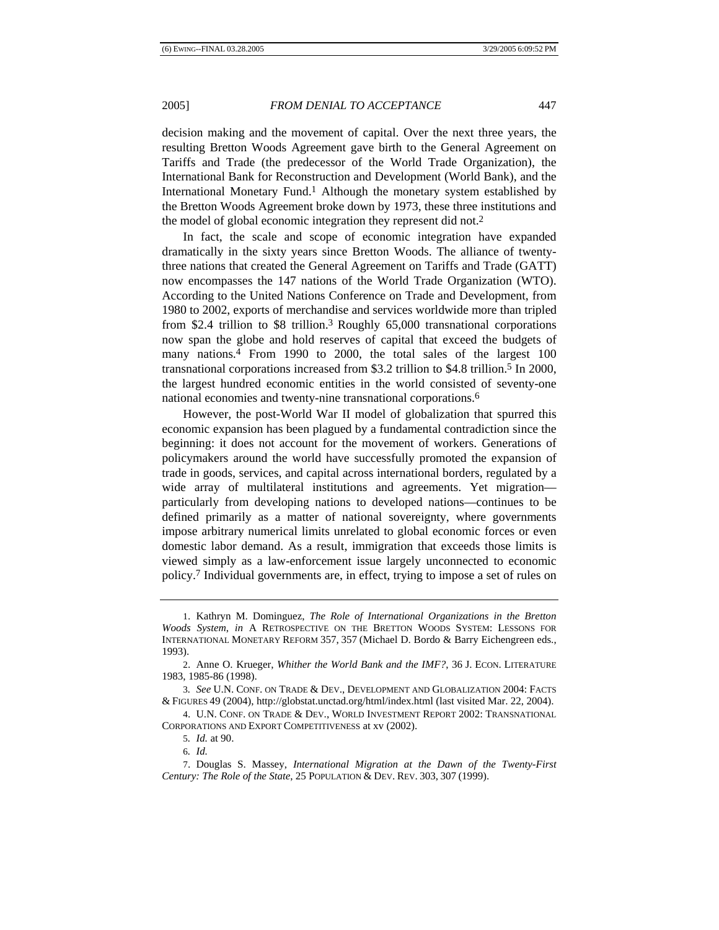decision making and the movement of capital. Over the next three years, the resulting Bretton Woods Agreement gave birth to the General Agreement on Tariffs and Trade (the predecessor of the World Trade Organization), the International Bank for Reconstruction and Development (World Bank), and the International Monetary Fund.<sup>1</sup> Although the monetary system established by the Bretton Woods Agreement broke down by 1973, these three institutions and the model of global economic integration they represent did not.2

In fact, the scale and scope of economic integration have expanded dramatically in the sixty years since Bretton Woods. The alliance of twentythree nations that created the General Agreement on Tariffs and Trade (GATT) now encompasses the 147 nations of the World Trade Organization (WTO). According to the United Nations Conference on Trade and Development, from 1980 to 2002, exports of merchandise and services worldwide more than tripled from \$2.4 trillion to \$8 trillion.3 Roughly 65,000 transnational corporations now span the globe and hold reserves of capital that exceed the budgets of many nations.4 From 1990 to 2000, the total sales of the largest 100 transnational corporations increased from \$3.2 trillion to \$4.8 trillion.5 In 2000, the largest hundred economic entities in the world consisted of seventy-one national economies and twenty-nine transnational corporations.6

However, the post-World War II model of globalization that spurred this economic expansion has been plagued by a fundamental contradiction since the beginning: it does not account for the movement of workers. Generations of policymakers around the world have successfully promoted the expansion of trade in goods, services, and capital across international borders, regulated by a wide array of multilateral institutions and agreements. Yet migration particularly from developing nations to developed nations—continues to be defined primarily as a matter of national sovereignty, where governments impose arbitrary numerical limits unrelated to global economic forces or even domestic labor demand. As a result, immigration that exceeds those limits is viewed simply as a law-enforcement issue largely unconnected to economic policy.7 Individual governments are, in effect, trying to impose a set of rules on

<sup>1.</sup> Kathryn M. Dominguez, *The Role of International Organizations in the Bretton Woods System*, *in* A RETROSPECTIVE ON THE BRETTON WOODS SYSTEM: LESSONS FOR INTERNATIONAL MONETARY REFORM 357, 357 (Michael D. Bordo & Barry Eichengreen eds., 1993).

<sup>2.</sup> Anne O. Krueger, *Whither the World Bank and the IMF?*, 36 J. ECON. LITERATURE 1983, 1985-86 (1998).

<sup>3</sup>*. See* U.N. CONF. ON TRADE & DEV., DEVELOPMENT AND GLOBALIZATION 2004: FACTS & FIGURES 49 (2004), http://globstat.unctad.org/html/index.html (last visited Mar. 22, 2004).

<sup>4.</sup> U.N. CONF. ON TRADE & DEV., WORLD INVESTMENT REPORT 2002: TRANSNATIONAL CORPORATIONS AND EXPORT COMPETITIVENESS at xv (2002).

<sup>5</sup>*. Id.* at 90.

<sup>6</sup>*. Id.*

<sup>7.</sup> Douglas S. Massey, *International Migration at the Dawn of the Twenty-First Century: The Role of the State*, 25 POPULATION & DEV. REV. 303, 307 (1999).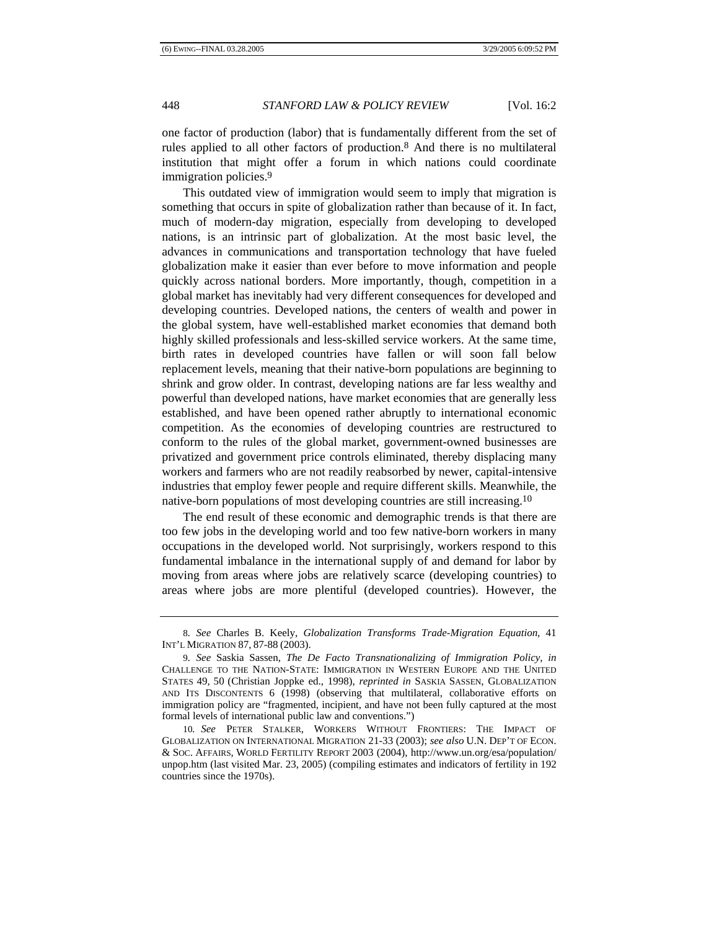one factor of production (labor) that is fundamentally different from the set of rules applied to all other factors of production.8 And there is no multilateral institution that might offer a forum in which nations could coordinate immigration policies.<sup>9</sup>

This outdated view of immigration would seem to imply that migration is something that occurs in spite of globalization rather than because of it. In fact, much of modern-day migration, especially from developing to developed nations, is an intrinsic part of globalization. At the most basic level, the advances in communications and transportation technology that have fueled globalization make it easier than ever before to move information and people quickly across national borders. More importantly, though, competition in a global market has inevitably had very different consequences for developed and developing countries. Developed nations, the centers of wealth and power in the global system, have well-established market economies that demand both highly skilled professionals and less-skilled service workers. At the same time, birth rates in developed countries have fallen or will soon fall below replacement levels, meaning that their native-born populations are beginning to shrink and grow older. In contrast, developing nations are far less wealthy and powerful than developed nations, have market economies that are generally less established, and have been opened rather abruptly to international economic competition. As the economies of developing countries are restructured to conform to the rules of the global market, government-owned businesses are privatized and government price controls eliminated, thereby displacing many workers and farmers who are not readily reabsorbed by newer, capital-intensive industries that employ fewer people and require different skills. Meanwhile, the native-born populations of most developing countries are still increasing.10

The end result of these economic and demographic trends is that there are too few jobs in the developing world and too few native-born workers in many occupations in the developed world. Not surprisingly, workers respond to this fundamental imbalance in the international supply of and demand for labor by moving from areas where jobs are relatively scarce (developing countries) to areas where jobs are more plentiful (developed countries). However, the

<sup>8</sup>*. See* Charles B. Keely, *Globalization Transforms Trade-Migration Equation*, 41 INT'L MIGRATION 87, 87-88 (2003).

<sup>9</sup>*. See* Saskia Sassen, *The De Facto Transnationalizing of Immigration Policy*, *in*  CHALLENGE TO THE NATION-STATE: IMMIGRATION IN WESTERN EUROPE AND THE UNITED STATES 49, 50 (Christian Joppke ed., 1998), *reprinted in* SASKIA SASSEN, GLOBALIZATION AND ITS DISCONTENTS 6 (1998) (observing that multilateral, collaborative efforts on immigration policy are "fragmented, incipient, and have not been fully captured at the most formal levels of international public law and conventions.")

<sup>10</sup>*. See* PETER STALKER, WORKERS WITHOUT FRONTIERS: THE IMPACT OF GLOBALIZATION ON INTERNATIONAL MIGRATION 21-33 (2003); *see also* U.N. DEP'T OF ECON. & SOC. AFFAIRS, WORLD FERTILITY REPORT 2003 (2004), http://www.un.org/esa/population/ unpop.htm (last visited Mar. 23, 2005) (compiling estimates and indicators of fertility in 192 countries since the 1970s).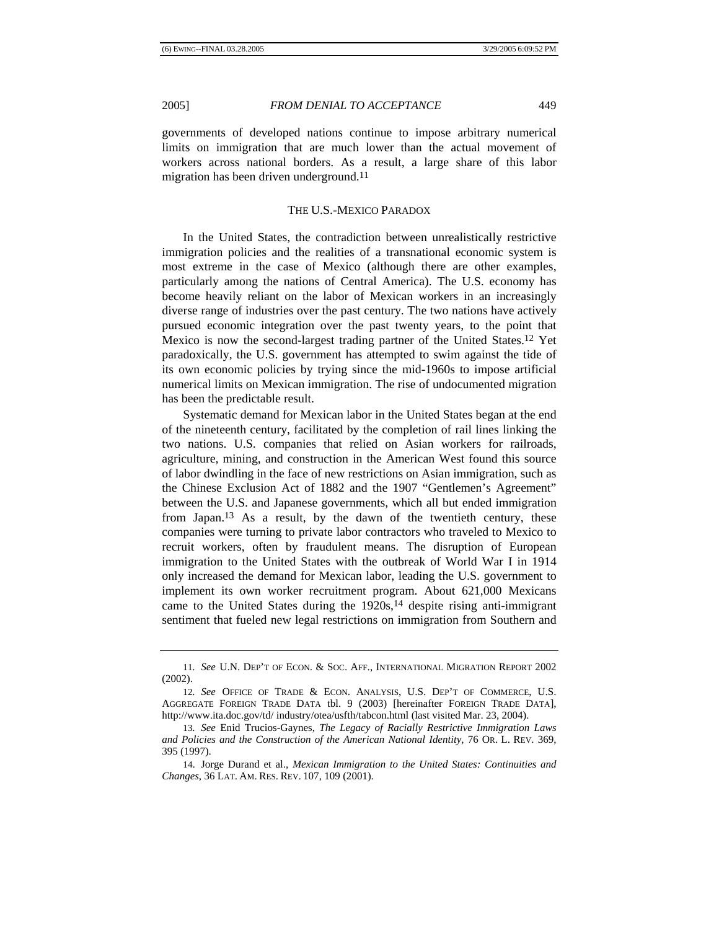governments of developed nations continue to impose arbitrary numerical limits on immigration that are much lower than the actual movement of workers across national borders. As a result, a large share of this labor migration has been driven underground.<sup>11</sup>

### THE U.S.-MEXICO PARADOX

In the United States, the contradiction between unrealistically restrictive immigration policies and the realities of a transnational economic system is most extreme in the case of Mexico (although there are other examples, particularly among the nations of Central America). The U.S. economy has become heavily reliant on the labor of Mexican workers in an increasingly diverse range of industries over the past century. The two nations have actively pursued economic integration over the past twenty years, to the point that Mexico is now the second-largest trading partner of the United States.12 Yet paradoxically, the U.S. government has attempted to swim against the tide of its own economic policies by trying since the mid-1960s to impose artificial numerical limits on Mexican immigration. The rise of undocumented migration has been the predictable result.

Systematic demand for Mexican labor in the United States began at the end of the nineteenth century, facilitated by the completion of rail lines linking the two nations. U.S. companies that relied on Asian workers for railroads, agriculture, mining, and construction in the American West found this source of labor dwindling in the face of new restrictions on Asian immigration, such as the Chinese Exclusion Act of 1882 and the 1907 "Gentlemen's Agreement" between the U.S. and Japanese governments, which all but ended immigration from Japan.13 As a result, by the dawn of the twentieth century, these companies were turning to private labor contractors who traveled to Mexico to recruit workers, often by fraudulent means. The disruption of European immigration to the United States with the outbreak of World War I in 1914 only increased the demand for Mexican labor, leading the U.S. government to implement its own worker recruitment program. About 621,000 Mexicans came to the United States during the 1920s,14 despite rising anti-immigrant sentiment that fueled new legal restrictions on immigration from Southern and

<sup>11</sup>*. See* U.N. DEP'T OF ECON. & SOC. AFF., INTERNATIONAL MIGRATION REPORT 2002 (2002).

<sup>12</sup>*. See* OFFICE OF TRADE & ECON. ANALYSIS, U.S. DEP'T OF COMMERCE, U.S. AGGREGATE FOREIGN TRADE DATA tbl. 9 (2003) [hereinafter FOREIGN TRADE DATA], http://www.ita.doc.gov/td/ industry/otea/usfth/tabcon.html (last visited Mar. 23, 2004).

<sup>13</sup>*. See* Enid Trucios-Gaynes, *The Legacy of Racially Restrictive Immigration Laws and Policies and the Construction of the American National Identity*, 76 OR. L. REV. 369, 395 (1997).

<sup>14.</sup> Jorge Durand et al., *Mexican Immigration to the United States: Continuities and Changes*, 36 LAT. AM. RES. REV. 107, 109 (2001).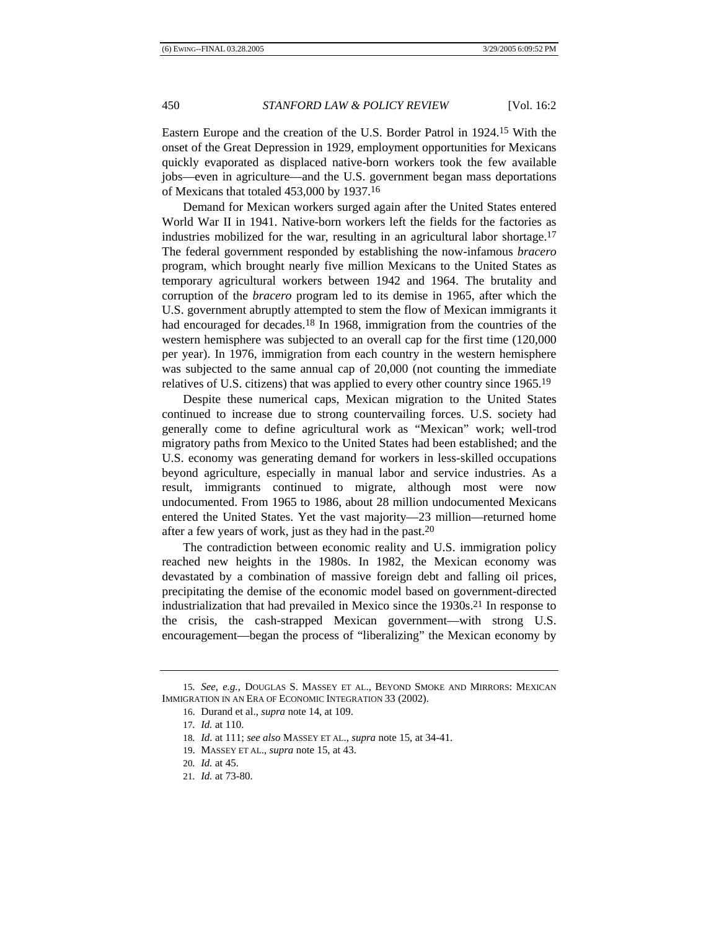Eastern Europe and the creation of the U.S. Border Patrol in 1924.15 With the onset of the Great Depression in 1929, employment opportunities for Mexicans quickly evaporated as displaced native-born workers took the few available jobs—even in agriculture—and the U.S. government began mass deportations of Mexicans that totaled 453,000 by 1937.16

Demand for Mexican workers surged again after the United States entered World War II in 1941. Native-born workers left the fields for the factories as industries mobilized for the war, resulting in an agricultural labor shortage.<sup>17</sup> The federal government responded by establishing the now-infamous *bracero* program, which brought nearly five million Mexicans to the United States as temporary agricultural workers between 1942 and 1964. The brutality and corruption of the *bracero* program led to its demise in 1965, after which the U.S. government abruptly attempted to stem the flow of Mexican immigrants it had encouraged for decades.<sup>18</sup> In 1968, immigration from the countries of the western hemisphere was subjected to an overall cap for the first time (120,000 per year). In 1976, immigration from each country in the western hemisphere was subjected to the same annual cap of 20,000 (not counting the immediate relatives of U.S. citizens) that was applied to every other country since 1965.19

Despite these numerical caps, Mexican migration to the United States continued to increase due to strong countervailing forces. U.S. society had generally come to define agricultural work as "Mexican" work; well-trod migratory paths from Mexico to the United States had been established; and the U.S. economy was generating demand for workers in less-skilled occupations beyond agriculture, especially in manual labor and service industries. As a result, immigrants continued to migrate, although most were now undocumented. From 1965 to 1986, about 28 million undocumented Mexicans entered the United States. Yet the vast majority—23 million—returned home after a few years of work, just as they had in the past.20

The contradiction between economic reality and U.S. immigration policy reached new heights in the 1980s. In 1982, the Mexican economy was devastated by a combination of massive foreign debt and falling oil prices, precipitating the demise of the economic model based on government-directed industrialization that had prevailed in Mexico since the 1930s.21 In response to the crisis, the cash-strapped Mexican government—with strong U.S. encouragement—began the process of "liberalizing" the Mexican economy by

<sup>15</sup>*. See, e.g.*, DOUGLAS S. MASSEY ET AL., BEYOND SMOKE AND MIRRORS: MEXICAN IMMIGRATION IN AN ERA OF ECONOMIC INTEGRATION 33 (2002).

<sup>16.</sup> Durand et al., *supra* note 14, at 109.

<sup>17</sup>*. Id.* at 110.

<sup>18</sup>*. Id.* at 111; *see also* MASSEY ET AL., *supra* note 15, at 34-41.

<sup>19.</sup> MASSEY ET AL., *supra* note 15, at 43.

<sup>20</sup>*. Id.* at 45.

<sup>21</sup>*. Id.* at 73-80.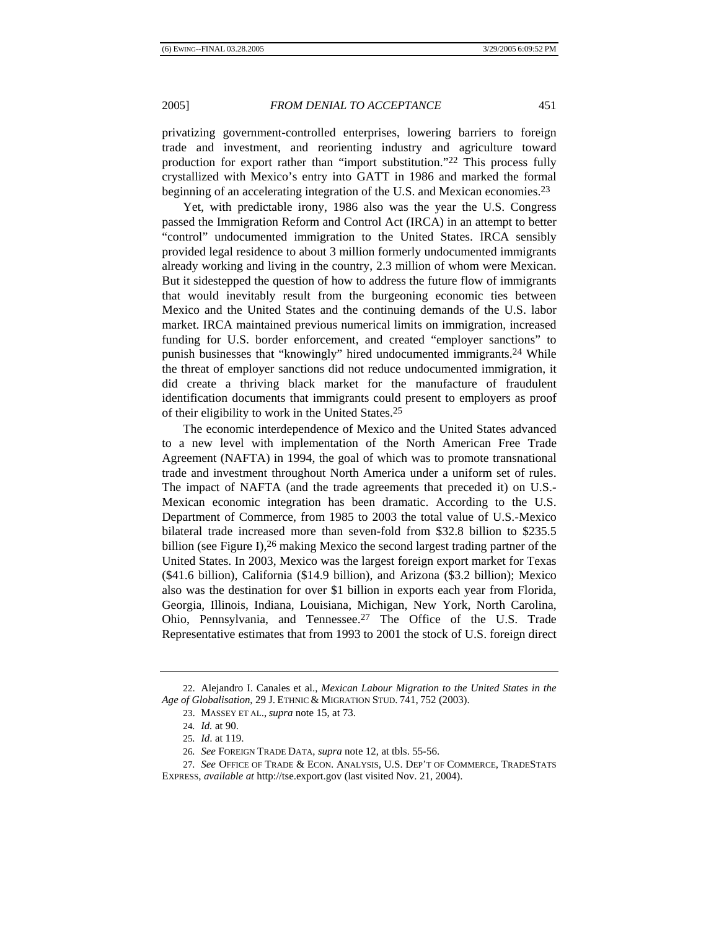privatizing government-controlled enterprises, lowering barriers to foreign trade and investment, and reorienting industry and agriculture toward production for export rather than "import substitution."22 This process fully crystallized with Mexico's entry into GATT in 1986 and marked the formal beginning of an accelerating integration of the U.S. and Mexican economies.23

Yet, with predictable irony, 1986 also was the year the U.S. Congress passed the Immigration Reform and Control Act (IRCA) in an attempt to better "control" undocumented immigration to the United States. IRCA sensibly provided legal residence to about 3 million formerly undocumented immigrants already working and living in the country, 2.3 million of whom were Mexican. But it sidestepped the question of how to address the future flow of immigrants that would inevitably result from the burgeoning economic ties between Mexico and the United States and the continuing demands of the U.S. labor market. IRCA maintained previous numerical limits on immigration, increased funding for U.S. border enforcement, and created "employer sanctions" to punish businesses that "knowingly" hired undocumented immigrants.24 While the threat of employer sanctions did not reduce undocumented immigration, it did create a thriving black market for the manufacture of fraudulent identification documents that immigrants could present to employers as proof of their eligibility to work in the United States.25

The economic interdependence of Mexico and the United States advanced to a new level with implementation of the North American Free Trade Agreement (NAFTA) in 1994, the goal of which was to promote transnational trade and investment throughout North America under a uniform set of rules. The impact of NAFTA (and the trade agreements that preceded it) on U.S.- Mexican economic integration has been dramatic. According to the U.S. Department of Commerce, from 1985 to 2003 the total value of U.S.-Mexico bilateral trade increased more than seven-fold from \$32.8 billion to \$235.5 billion (see Figure I),<sup>26</sup> making Mexico the second largest trading partner of the United States. In 2003, Mexico was the largest foreign export market for Texas (\$41.6 billion), California (\$14.9 billion), and Arizona (\$3.2 billion); Mexico also was the destination for over \$1 billion in exports each year from Florida, Georgia, Illinois, Indiana, Louisiana, Michigan, New York, North Carolina, Ohio, Pennsylvania, and Tennessee.27 The Office of the U.S. Trade Representative estimates that from 1993 to 2001 the stock of U.S. foreign direct

<sup>22.</sup> Alejandro I. Canales et al., *Mexican Labour Migration to the United States in the Age of Globalisation*, 29 J. ETHNIC & MIGRATION STUD. 741, 752 (2003).

<sup>23.</sup> MASSEY ET AL., *supra* note 15, at 73.

<sup>24</sup>*. Id.* at 90.

<sup>25</sup>*. Id*. at 119.

<sup>26</sup>*. See* FOREIGN TRADE DATA, *supra* note 12, at tbls. 55-56.

<sup>27</sup>*. See* OFFICE OF TRADE & ECON. ANALYSIS, U.S. DEP'T OF COMMERCE, TRADESTATS EXPRESS, *available at* http://tse.export.gov (last visited Nov. 21, 2004).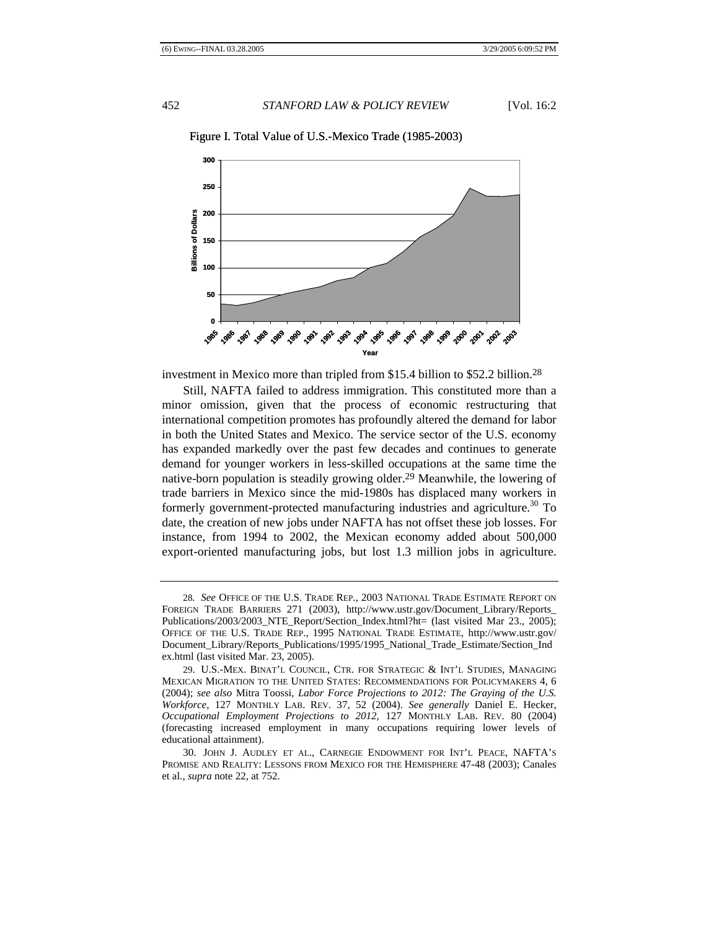

Figure I. Total Value of U.S.-Mexico Trade (1985-2003)

investment in Mexico more than tripled from \$15.4 billion to \$52.2 billion.28

Still, NAFTA failed to address immigration. This constituted more than a minor omission, given that the process of economic restructuring that international competition promotes has profoundly altered the demand for labor in both the United States and Mexico. The service sector of the U.S. economy has expanded markedly over the past few decades and continues to generate demand for younger workers in less-skilled occupations at the same time the native-born population is steadily growing older.29 Meanwhile, the lowering of trade barriers in Mexico since the mid-1980s has displaced many workers in formerly government-protected manufacturing industries and agriculture.<sup>30</sup> To date, the creation of new jobs under NAFTA has not offset these job losses. For instance, from 1994 to 2002, the Mexican economy added about 500,000 export-oriented manufacturing jobs, but lost 1.3 million jobs in agriculture.

<sup>28</sup>*. See* OFFICE OF THE U.S. TRADE REP., 2003 NATIONAL TRADE ESTIMATE REPORT ON FOREIGN TRADE BARRIERS 271 (2003), http://www.ustr.gov/Document\_Library/Reports\_ Publications/2003/2003\_NTE\_Report/Section\_Index.html?ht= (last visited Mar 23., 2005); OFFICE OF THE U.S. TRADE REP., 1995 NATIONAL TRADE ESTIMATE, http://www.ustr.gov/ Document\_Library/Reports\_Publications/1995/1995\_National\_Trade\_Estimate/Section\_Ind ex.html (last visited Mar. 23, 2005).

<sup>29.</sup> U.S.-MEX. BINAT'L COUNCIL, CTR. FOR STRATEGIC & INT'L STUDIES, MANAGING MEXICAN MIGRATION TO THE UNITED STATES: RECOMMENDATIONS FOR POLICYMAKERS 4, 6 (2004); *see also* Mitra Toossi, *Labor Force Projections to 2012: The Graying of the U.S. Workforce*, 127 MONTHLY LAB. REV. 37, 52 (2004). *See generally* Daniel E. Hecker, *Occupational Employment Projections to 2012*, 127 MONTHLY LAB. REV. 80 (2004) (forecasting increased employment in many occupations requiring lower levels of educational attainment).

<sup>30.</sup> JOHN J. AUDLEY ET AL., CARNEGIE ENDOWMENT FOR INT'L PEACE, NAFTA'S PROMISE AND REALITY: LESSONS FROM MEXICO FOR THE HEMISPHERE 47-48 (2003); Canales et al., *supra* note 22, at 752.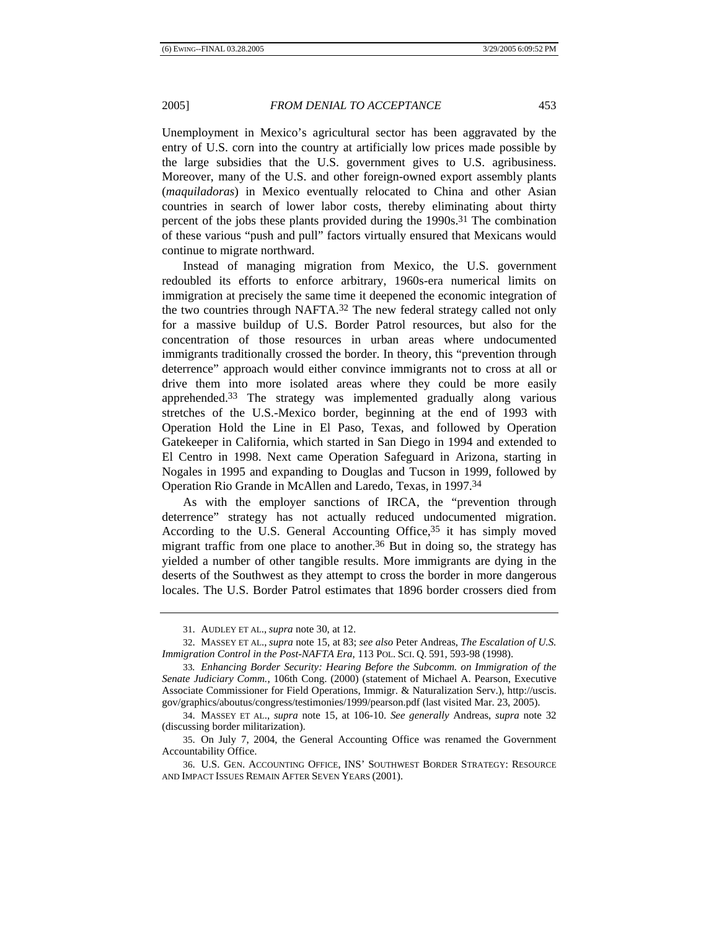Unemployment in Mexico's agricultural sector has been aggravated by the entry of U.S. corn into the country at artificially low prices made possible by the large subsidies that the U.S. government gives to U.S. agribusiness. Moreover, many of the U.S. and other foreign-owned export assembly plants (*maquiladoras*) in Mexico eventually relocated to China and other Asian countries in search of lower labor costs, thereby eliminating about thirty percent of the jobs these plants provided during the 1990s.31 The combination of these various "push and pull" factors virtually ensured that Mexicans would continue to migrate northward.

Instead of managing migration from Mexico, the U.S. government redoubled its efforts to enforce arbitrary, 1960s-era numerical limits on immigration at precisely the same time it deepened the economic integration of the two countries through NAFTA.32 The new federal strategy called not only for a massive buildup of U.S. Border Patrol resources, but also for the concentration of those resources in urban areas where undocumented immigrants traditionally crossed the border. In theory, this "prevention through deterrence" approach would either convince immigrants not to cross at all or drive them into more isolated areas where they could be more easily apprehended.33 The strategy was implemented gradually along various stretches of the U.S.-Mexico border, beginning at the end of 1993 with Operation Hold the Line in El Paso, Texas, and followed by Operation Gatekeeper in California, which started in San Diego in 1994 and extended to El Centro in 1998. Next came Operation Safeguard in Arizona, starting in Nogales in 1995 and expanding to Douglas and Tucson in 1999, followed by Operation Rio Grande in McAllen and Laredo, Texas, in 1997.34

As with the employer sanctions of IRCA, the "prevention through deterrence" strategy has not actually reduced undocumented migration. According to the U.S. General Accounting Office,35 it has simply moved migrant traffic from one place to another.36 But in doing so, the strategy has yielded a number of other tangible results. More immigrants are dying in the deserts of the Southwest as they attempt to cross the border in more dangerous locales. The U.S. Border Patrol estimates that 1896 border crossers died from

<sup>31.</sup> AUDLEY ET AL., *supra* note 30, at 12.

<sup>32.</sup> MASSEY ET AL., *supra* note 15, at 83; *see also* Peter Andreas, *The Escalation of U.S. Immigration Control in the Post-NAFTA Era*, 113 POL. SCI. Q. 591, 593-98 (1998).

<sup>33</sup>*. Enhancing Border Security: Hearing Before the Subcomm. on Immigration of the Senate Judiciary Comm.*, 106th Cong. (2000) (statement of Michael A. Pearson, Executive Associate Commissioner for Field Operations, Immigr. & Naturalization Serv.), http://uscis. gov/graphics/aboutus/congress/testimonies/1999/pearson.pdf (last visited Mar. 23, 2005).

<sup>34.</sup> MASSEY ET AL., *supra* note 15, at 106-10. *See generally* Andreas, *supra* note 32 (discussing border militarization).

<sup>35.</sup> On July 7, 2004, the General Accounting Office was renamed the Government Accountability Office.

<sup>36.</sup> U.S. GEN. ACCOUNTING OFFICE, INS' SOUTHWEST BORDER STRATEGY: RESOURCE AND IMPACT ISSUES REMAIN AFTER SEVEN YEARS (2001).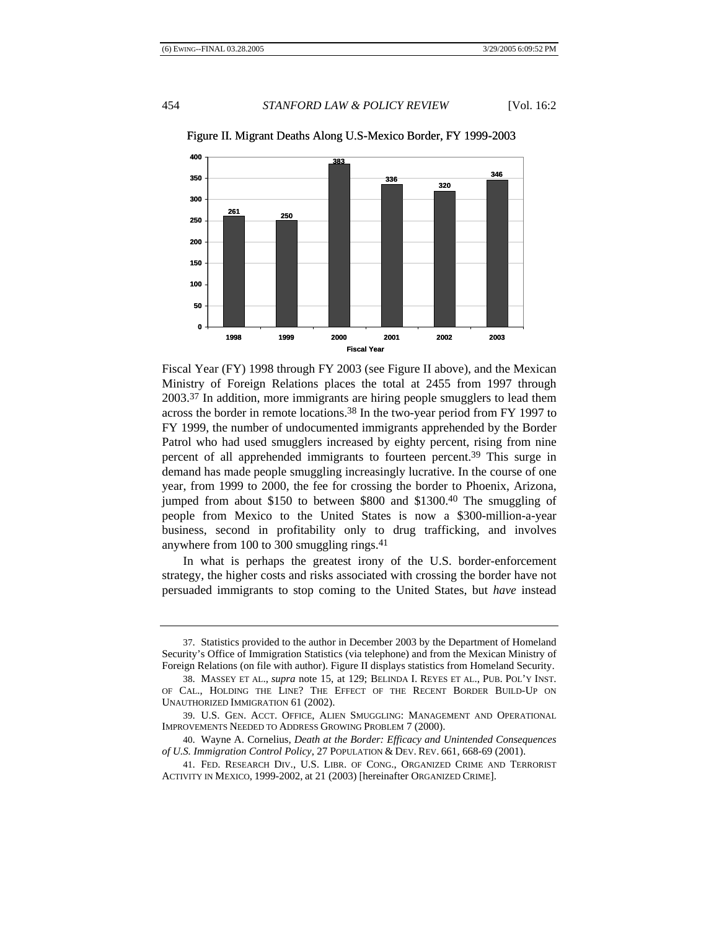

Figure II. Migrant Deaths Along U.S-Mexico Border, FY 1999-2003

Fiscal Year (FY) 1998 through FY 2003 (see Figure II above), and the Mexican Ministry of Foreign Relations places the total at 2455 from 1997 through 2003.37 In addition, more immigrants are hiring people smugglers to lead them across the border in remote locations.38 In the two-year period from FY 1997 to FY 1999, the number of undocumented immigrants apprehended by the Border Patrol who had used smugglers increased by eighty percent, rising from nine percent of all apprehended immigrants to fourteen percent.39 This surge in demand has made people smuggling increasingly lucrative. In the course of one year, from 1999 to 2000, the fee for crossing the border to Phoenix, Arizona, jumped from about \$150 to between \$800 and \$1300.40 The smuggling of people from Mexico to the United States is now a \$300-million-a-year business, second in profitability only to drug trafficking, and involves anywhere from 100 to 300 smuggling rings.41

In what is perhaps the greatest irony of the U.S. border-enforcement strategy, the higher costs and risks associated with crossing the border have not persuaded immigrants to stop coming to the United States, but *have* instead

<sup>37.</sup> Statistics provided to the author in December 2003 by the Department of Homeland Security's Office of Immigration Statistics (via telephone) and from the Mexican Ministry of Foreign Relations (on file with author). Figure II displays statistics from Homeland Security.

<sup>38.</sup> MASSEY ET AL., *supra* note 15, at 129; BELINDA I. REYES ET AL., PUB. POL'Y INST. OF CAL., HOLDING THE LINE? THE EFFECT OF THE RECENT BORDER BUILD-UP ON UNAUTHORIZED IMMIGRATION 61 (2002).

<sup>39.</sup> U.S. GEN. ACCT. OFFICE, ALIEN SMUGGLING: MANAGEMENT AND OPERATIONAL IMPROVEMENTS NEEDED TO ADDRESS GROWING PROBLEM 7 (2000).

<sup>40.</sup> Wayne A. Cornelius, *Death at the Border: Efficacy and Unintended Consequences of U.S. Immigration Control Policy*, 27 POPULATION & DEV. REV. 661, 668-69 (2001).

<sup>41.</sup> FED. RESEARCH DIV., U.S. LIBR. OF CONG., ORGANIZED CRIME AND TERRORIST ACTIVITY IN MEXICO, 1999-2002, at 21 (2003) [hereinafter ORGANIZED CRIME].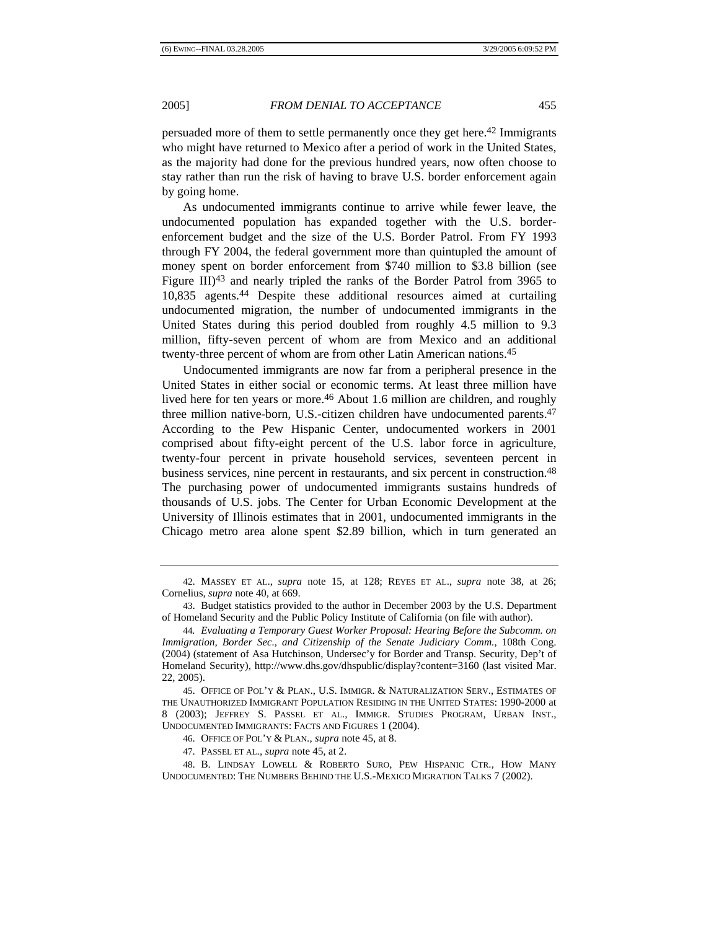persuaded more of them to settle permanently once they get here.42 Immigrants who might have returned to Mexico after a period of work in the United States, as the majority had done for the previous hundred years, now often choose to stay rather than run the risk of having to brave U.S. border enforcement again by going home.

As undocumented immigrants continue to arrive while fewer leave, the undocumented population has expanded together with the U.S. borderenforcement budget and the size of the U.S. Border Patrol. From FY 1993 through FY 2004, the federal government more than quintupled the amount of money spent on border enforcement from \$740 million to \$3.8 billion (see Figure III)43 and nearly tripled the ranks of the Border Patrol from 3965 to 10,835 agents.44 Despite these additional resources aimed at curtailing undocumented migration, the number of undocumented immigrants in the United States during this period doubled from roughly 4.5 million to 9.3 million, fifty-seven percent of whom are from Mexico and an additional twenty-three percent of whom are from other Latin American nations.45

Undocumented immigrants are now far from a peripheral presence in the United States in either social or economic terms. At least three million have lived here for ten years or more.46 About 1.6 million are children, and roughly three million native-born, U.S.-citizen children have undocumented parents.47 According to the Pew Hispanic Center, undocumented workers in 2001 comprised about fifty-eight percent of the U.S. labor force in agriculture, twenty-four percent in private household services, seventeen percent in business services, nine percent in restaurants, and six percent in construction.48 The purchasing power of undocumented immigrants sustains hundreds of thousands of U.S. jobs. The Center for Urban Economic Development at the University of Illinois estimates that in 2001, undocumented immigrants in the Chicago metro area alone spent \$2.89 billion, which in turn generated an

46. OFFICE OF POL'Y & PLAN., *supra* note 45, at 8.

47. PASSEL ET AL., *supra* note 45, at 2.

<sup>42.</sup> MASSEY ET AL., *supra* note 15, at 128; REYES ET AL., *supra* note 38, at 26; Cornelius, *supra* note 40, at 669.

<sup>43.</sup> Budget statistics provided to the author in December 2003 by the U.S. Department of Homeland Security and the Public Policy Institute of California (on file with author).

<sup>44</sup>*. Evaluating a Temporary Guest Worker Proposal: Hearing Before the Subcomm. on Immigration, Border Sec., and Citizenship of the Senate Judiciary Comm.*, 108th Cong. (2004) (statement of Asa Hutchinson, Undersec'y for Border and Transp. Security, Dep't of Homeland Security), http://www.dhs.gov/dhspublic/display?content=3160 (last visited Mar. 22, 2005).

<sup>45.</sup> OFFICE OF POL'Y & PLAN., U.S. IMMIGR. & NATURALIZATION SERV., ESTIMATES OF THE UNAUTHORIZED IMMIGRANT POPULATION RESIDING IN THE UNITED STATES: 1990-2000 at 8 (2003); JEFFREY S. PASSEL ET AL., IMMIGR. STUDIES PROGRAM, URBAN INST., UNDOCUMENTED IMMIGRANTS: FACTS AND FIGURES 1 (2004).

<sup>48.</sup> B. LINDSAY LOWELL & ROBERTO SURO, PEW HISPANIC CTR., HOW MANY UNDOCUMENTED: THE NUMBERS BEHIND THE U.S.-MEXICO MIGRATION TALKS 7 (2002).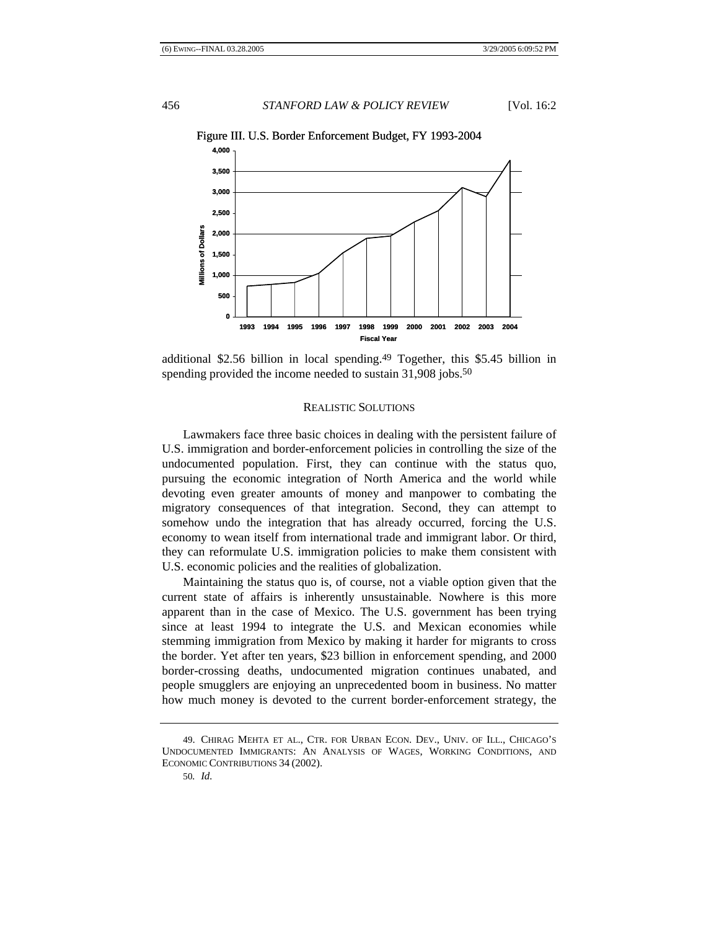

Figure III. U.S. Border Enforcement Budget, FY 1993-2004

additional \$2.56 billion in local spending.49 Together, this \$5.45 billion in spending provided the income needed to sustain 31,908 jobs.<sup>50</sup>

# REALISTIC SOLUTIONS

Lawmakers face three basic choices in dealing with the persistent failure of U.S. immigration and border-enforcement policies in controlling the size of the undocumented population. First, they can continue with the status quo, pursuing the economic integration of North America and the world while devoting even greater amounts of money and manpower to combating the migratory consequences of that integration. Second, they can attempt to somehow undo the integration that has already occurred, forcing the U.S. economy to wean itself from international trade and immigrant labor. Or third, they can reformulate U.S. immigration policies to make them consistent with U.S. economic policies and the realities of globalization.

Maintaining the status quo is, of course, not a viable option given that the current state of affairs is inherently unsustainable. Nowhere is this more apparent than in the case of Mexico. The U.S. government has been trying since at least 1994 to integrate the U.S. and Mexican economies while stemming immigration from Mexico by making it harder for migrants to cross the border. Yet after ten years, \$23 billion in enforcement spending, and 2000 border-crossing deaths, undocumented migration continues unabated, and people smugglers are enjoying an unprecedented boom in business. No matter how much money is devoted to the current border-enforcement strategy, the

<sup>49.</sup> CHIRAG MEHTA ET AL., CTR. FOR URBAN ECON. DEV., UNIV. OF ILL., CHICAGO'S UNDOCUMENTED IMMIGRANTS: AN ANALYSIS OF WAGES, WORKING CONDITIONS, AND ECONOMIC CONTRIBUTIONS 34 (2002).

<sup>50</sup>*. Id.*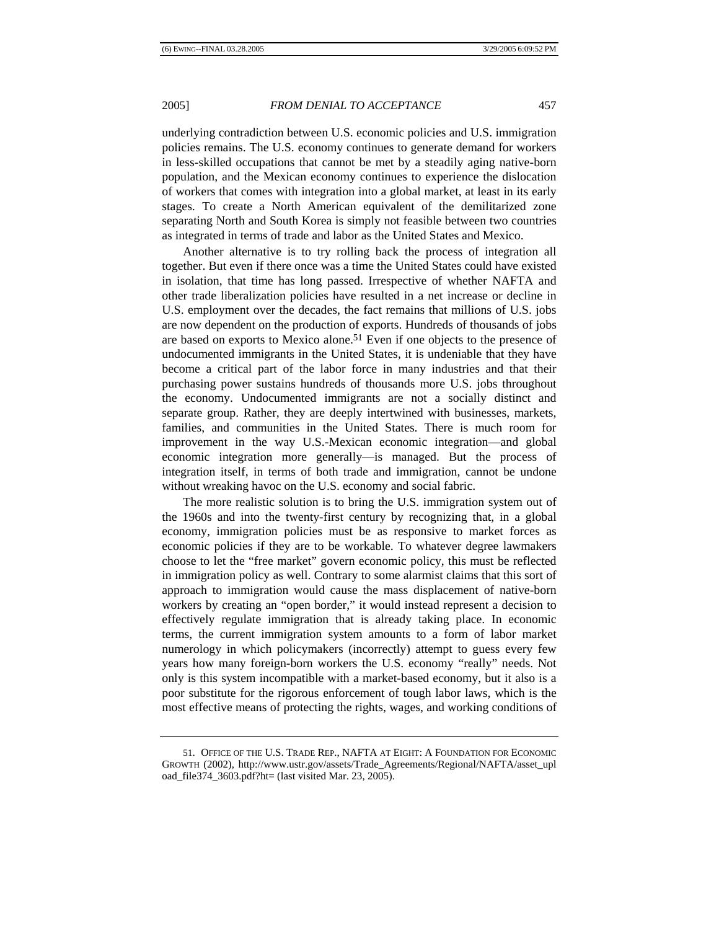underlying contradiction between U.S. economic policies and U.S. immigration policies remains. The U.S. economy continues to generate demand for workers in less-skilled occupations that cannot be met by a steadily aging native-born population, and the Mexican economy continues to experience the dislocation of workers that comes with integration into a global market, at least in its early stages. To create a North American equivalent of the demilitarized zone separating North and South Korea is simply not feasible between two countries as integrated in terms of trade and labor as the United States and Mexico.

Another alternative is to try rolling back the process of integration all together. But even if there once was a time the United States could have existed in isolation, that time has long passed. Irrespective of whether NAFTA and other trade liberalization policies have resulted in a net increase or decline in U.S. employment over the decades, the fact remains that millions of U.S. jobs are now dependent on the production of exports. Hundreds of thousands of jobs are based on exports to Mexico alone.51 Even if one objects to the presence of undocumented immigrants in the United States, it is undeniable that they have become a critical part of the labor force in many industries and that their purchasing power sustains hundreds of thousands more U.S. jobs throughout the economy. Undocumented immigrants are not a socially distinct and separate group. Rather, they are deeply intertwined with businesses, markets, families, and communities in the United States. There is much room for improvement in the way U.S.-Mexican economic integration—and global economic integration more generally—is managed. But the process of integration itself, in terms of both trade and immigration, cannot be undone without wreaking havoc on the U.S. economy and social fabric.

The more realistic solution is to bring the U.S. immigration system out of the 1960s and into the twenty-first century by recognizing that, in a global economy, immigration policies must be as responsive to market forces as economic policies if they are to be workable. To whatever degree lawmakers choose to let the "free market" govern economic policy, this must be reflected in immigration policy as well. Contrary to some alarmist claims that this sort of approach to immigration would cause the mass displacement of native-born workers by creating an "open border," it would instead represent a decision to effectively regulate immigration that is already taking place. In economic terms, the current immigration system amounts to a form of labor market numerology in which policymakers (incorrectly) attempt to guess every few years how many foreign-born workers the U.S. economy "really" needs. Not only is this system incompatible with a market-based economy, but it also is a poor substitute for the rigorous enforcement of tough labor laws, which is the most effective means of protecting the rights, wages, and working conditions of

<sup>51.</sup> OFFICE OF THE U.S. TRADE REP., NAFTA AT EIGHT: A FOUNDATION FOR ECONOMIC GROWTH (2002), http://www.ustr.gov/assets/Trade\_Agreements/Regional/NAFTA/asset\_upl oad\_file374\_3603.pdf?ht= (last visited Mar. 23, 2005).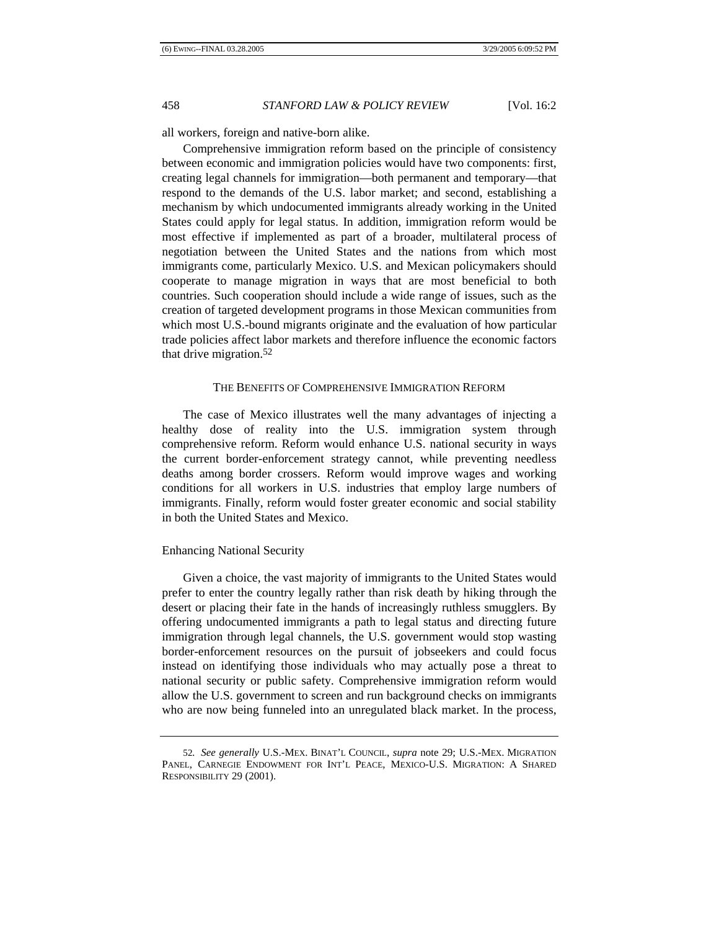all workers, foreign and native-born alike.

Comprehensive immigration reform based on the principle of consistency between economic and immigration policies would have two components: first, creating legal channels for immigration—both permanent and temporary—that respond to the demands of the U.S. labor market; and second, establishing a mechanism by which undocumented immigrants already working in the United States could apply for legal status. In addition, immigration reform would be most effective if implemented as part of a broader, multilateral process of negotiation between the United States and the nations from which most immigrants come, particularly Mexico. U.S. and Mexican policymakers should cooperate to manage migration in ways that are most beneficial to both countries. Such cooperation should include a wide range of issues, such as the creation of targeted development programs in those Mexican communities from which most U.S.-bound migrants originate and the evaluation of how particular trade policies affect labor markets and therefore influence the economic factors that drive migration.52

### THE BENEFITS OF COMPREHENSIVE IMMIGRATION REFORM

The case of Mexico illustrates well the many advantages of injecting a healthy dose of reality into the U.S. immigration system through comprehensive reform. Reform would enhance U.S. national security in ways the current border-enforcement strategy cannot, while preventing needless deaths among border crossers. Reform would improve wages and working conditions for all workers in U.S. industries that employ large numbers of immigrants. Finally, reform would foster greater economic and social stability in both the United States and Mexico.

### Enhancing National Security

Given a choice, the vast majority of immigrants to the United States would prefer to enter the country legally rather than risk death by hiking through the desert or placing their fate in the hands of increasingly ruthless smugglers. By offering undocumented immigrants a path to legal status and directing future immigration through legal channels, the U.S. government would stop wasting border-enforcement resources on the pursuit of jobseekers and could focus instead on identifying those individuals who may actually pose a threat to national security or public safety. Comprehensive immigration reform would allow the U.S. government to screen and run background checks on immigrants who are now being funneled into an unregulated black market. In the process,

<sup>52</sup>*. See generally* U.S.-MEX. BINAT'L COUNCIL, *supra* note 29; U.S.-MEX. MIGRATION PANEL, CARNEGIE ENDOWMENT FOR INT'L PEACE, MEXICO-U.S. MIGRATION: A SHARED RESPONSIBILITY 29 (2001).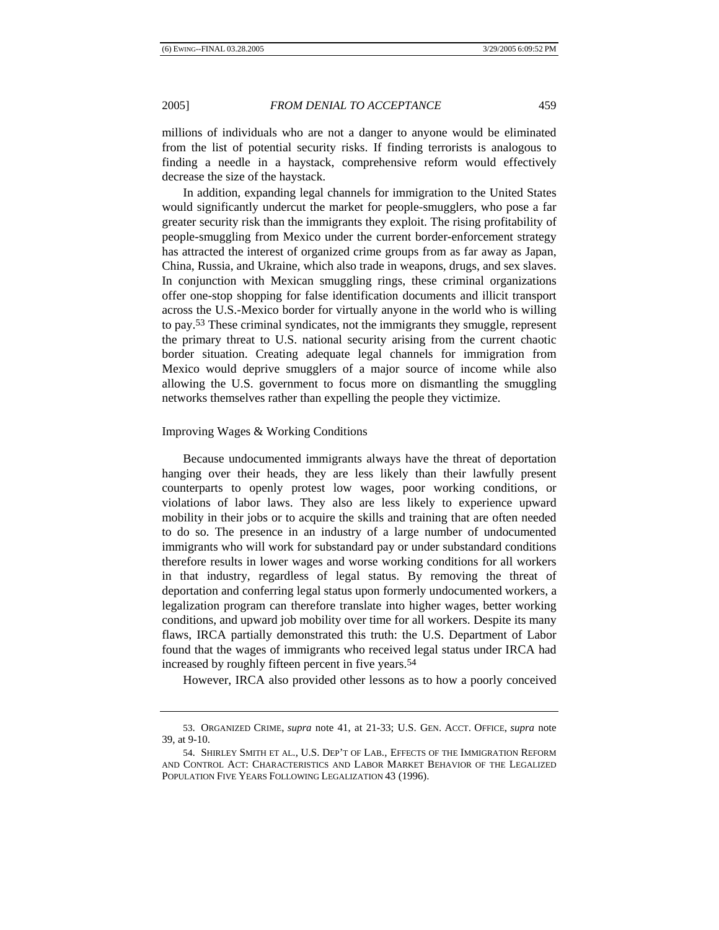millions of individuals who are not a danger to anyone would be eliminated from the list of potential security risks. If finding terrorists is analogous to finding a needle in a haystack, comprehensive reform would effectively decrease the size of the haystack.

In addition, expanding legal channels for immigration to the United States would significantly undercut the market for people-smugglers, who pose a far greater security risk than the immigrants they exploit. The rising profitability of people-smuggling from Mexico under the current border-enforcement strategy has attracted the interest of organized crime groups from as far away as Japan, China, Russia, and Ukraine, which also trade in weapons, drugs, and sex slaves. In conjunction with Mexican smuggling rings, these criminal organizations offer one-stop shopping for false identification documents and illicit transport across the U.S.-Mexico border for virtually anyone in the world who is willing to pay.53 These criminal syndicates, not the immigrants they smuggle, represent the primary threat to U.S. national security arising from the current chaotic border situation. Creating adequate legal channels for immigration from Mexico would deprive smugglers of a major source of income while also allowing the U.S. government to focus more on dismantling the smuggling networks themselves rather than expelling the people they victimize.

### Improving Wages & Working Conditions

Because undocumented immigrants always have the threat of deportation hanging over their heads, they are less likely than their lawfully present counterparts to openly protest low wages, poor working conditions, or violations of labor laws. They also are less likely to experience upward mobility in their jobs or to acquire the skills and training that are often needed to do so. The presence in an industry of a large number of undocumented immigrants who will work for substandard pay or under substandard conditions therefore results in lower wages and worse working conditions for all workers in that industry, regardless of legal status. By removing the threat of deportation and conferring legal status upon formerly undocumented workers, a legalization program can therefore translate into higher wages, better working conditions, and upward job mobility over time for all workers. Despite its many flaws, IRCA partially demonstrated this truth: the U.S. Department of Labor found that the wages of immigrants who received legal status under IRCA had increased by roughly fifteen percent in five years.54

However, IRCA also provided other lessons as to how a poorly conceived

<sup>53.</sup> ORGANIZED CRIME, *supra* note 41, at 21-33; U.S. GEN. ACCT. OFFICE, *supra* note 39, at 9-10.

<sup>54.</sup> SHIRLEY SMITH ET AL., U.S. DEP'T OF LAB., EFFECTS OF THE IMMIGRATION REFORM AND CONTROL ACT: CHARACTERISTICS AND LABOR MARKET BEHAVIOR OF THE LEGALIZED POPULATION FIVE YEARS FOLLOWING LEGALIZATION 43 (1996).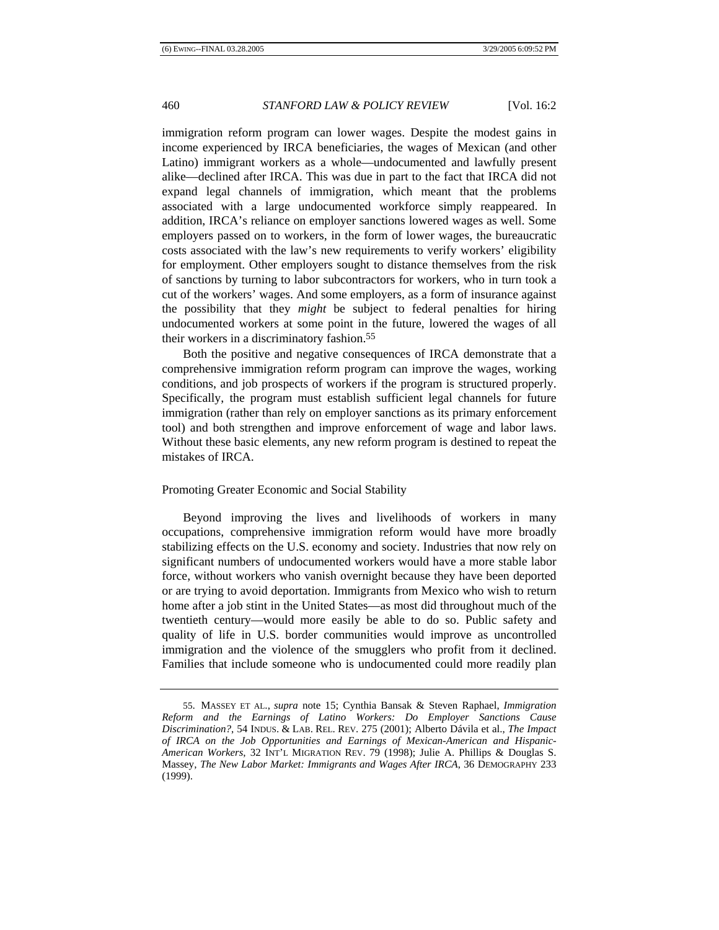immigration reform program can lower wages. Despite the modest gains in income experienced by IRCA beneficiaries, the wages of Mexican (and other Latino) immigrant workers as a whole—undocumented and lawfully present alike—declined after IRCA. This was due in part to the fact that IRCA did not expand legal channels of immigration, which meant that the problems associated with a large undocumented workforce simply reappeared. In addition, IRCA's reliance on employer sanctions lowered wages as well. Some employers passed on to workers, in the form of lower wages, the bureaucratic costs associated with the law's new requirements to verify workers' eligibility for employment. Other employers sought to distance themselves from the risk of sanctions by turning to labor subcontractors for workers, who in turn took a cut of the workers' wages. And some employers, as a form of insurance against the possibility that they *might* be subject to federal penalties for hiring undocumented workers at some point in the future, lowered the wages of all their workers in a discriminatory fashion.55

Both the positive and negative consequences of IRCA demonstrate that a comprehensive immigration reform program can improve the wages, working conditions, and job prospects of workers if the program is structured properly. Specifically, the program must establish sufficient legal channels for future immigration (rather than rely on employer sanctions as its primary enforcement tool) and both strengthen and improve enforcement of wage and labor laws. Without these basic elements, any new reform program is destined to repeat the mistakes of IRCA.

# Promoting Greater Economic and Social Stability

Beyond improving the lives and livelihoods of workers in many occupations, comprehensive immigration reform would have more broadly stabilizing effects on the U.S. economy and society. Industries that now rely on significant numbers of undocumented workers would have a more stable labor force, without workers who vanish overnight because they have been deported or are trying to avoid deportation. Immigrants from Mexico who wish to return home after a job stint in the United States—as most did throughout much of the twentieth century—would more easily be able to do so. Public safety and quality of life in U.S. border communities would improve as uncontrolled immigration and the violence of the smugglers who profit from it declined. Families that include someone who is undocumented could more readily plan

<sup>55.</sup> MASSEY ET AL., *supra* note 15; Cynthia Bansak & Steven Raphael, *Immigration Reform and the Earnings of Latino Workers: Do Employer Sanctions Cause Discrimination?*, 54 INDUS. & LAB. REL. REV. 275 (2001); Alberto Dávila et al., *The Impact of IRCA on the Job Opportunities and Earnings of Mexican-American and Hispanic-American Workers*, 32 INT'L MIGRATION REV. 79 (1998); Julie A. Phillips & Douglas S. Massey, *The New Labor Market: Immigrants and Wages After IRCA*, 36 DEMOGRAPHY 233 (1999).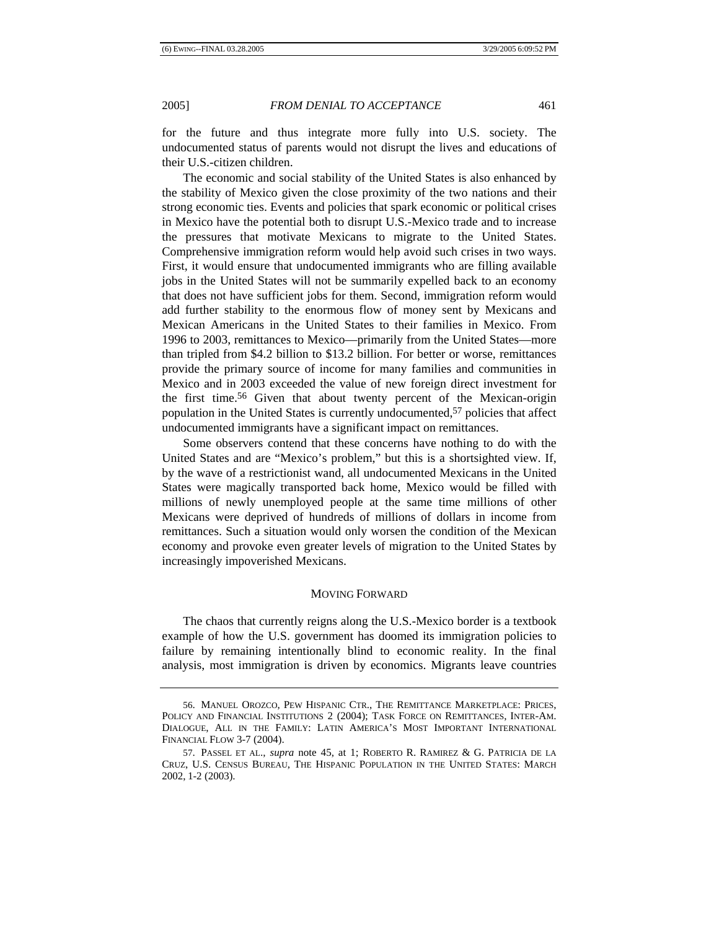for the future and thus integrate more fully into U.S. society. The undocumented status of parents would not disrupt the lives and educations of their U.S.-citizen children.

The economic and social stability of the United States is also enhanced by the stability of Mexico given the close proximity of the two nations and their strong economic ties. Events and policies that spark economic or political crises in Mexico have the potential both to disrupt U.S.-Mexico trade and to increase the pressures that motivate Mexicans to migrate to the United States. Comprehensive immigration reform would help avoid such crises in two ways. First, it would ensure that undocumented immigrants who are filling available jobs in the United States will not be summarily expelled back to an economy that does not have sufficient jobs for them. Second, immigration reform would add further stability to the enormous flow of money sent by Mexicans and Mexican Americans in the United States to their families in Mexico. From 1996 to 2003, remittances to Mexico—primarily from the United States—more than tripled from \$4.2 billion to \$13.2 billion. For better or worse, remittances provide the primary source of income for many families and communities in Mexico and in 2003 exceeded the value of new foreign direct investment for the first time.56 Given that about twenty percent of the Mexican-origin population in the United States is currently undocumented,57 policies that affect undocumented immigrants have a significant impact on remittances.

Some observers contend that these concerns have nothing to do with the United States and are "Mexico's problem," but this is a shortsighted view. If, by the wave of a restrictionist wand, all undocumented Mexicans in the United States were magically transported back home, Mexico would be filled with millions of newly unemployed people at the same time millions of other Mexicans were deprived of hundreds of millions of dollars in income from remittances. Such a situation would only worsen the condition of the Mexican economy and provoke even greater levels of migration to the United States by increasingly impoverished Mexicans.

# MOVING FORWARD

The chaos that currently reigns along the U.S.-Mexico border is a textbook example of how the U.S. government has doomed its immigration policies to failure by remaining intentionally blind to economic reality. In the final analysis, most immigration is driven by economics. Migrants leave countries

<sup>56.</sup> MANUEL OROZCO, PEW HISPANIC CTR., THE REMITTANCE MARKETPLACE: PRICES, POLICY AND FINANCIAL INSTITUTIONS 2 (2004); TASK FORCE ON REMITTANCES, INTER-AM. DIALOGUE, ALL IN THE FAMILY: LATIN AMERICA'S MOST IMPORTANT INTERNATIONAL FINANCIAL FLOW 3-7 (2004).

<sup>57.</sup> PASSEL ET AL., *supra* note 45, at 1; ROBERTO R. RAMIREZ & G. PATRICIA DE LA CRUZ, U.S. CENSUS BUREAU, THE HISPANIC POPULATION IN THE UNITED STATES: MARCH 2002, 1-2 (2003).